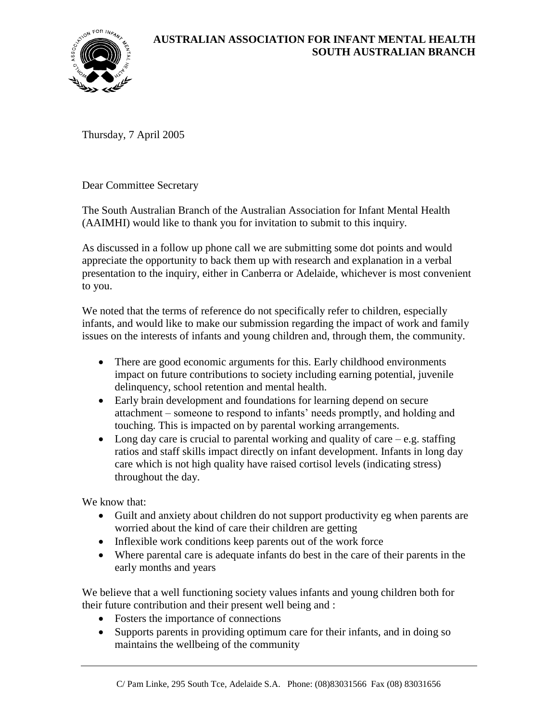

Thursday, 7 April 2005

Dear Committee Secretary

The South Australian Branch of the Australian Association for Infant Mental Health (AAIMHI) would like to thank you for invitation to submit to this inquiry.

As discussed in a follow up phone call we are submitting some dot points and would appreciate the opportunity to back them up with research and explanation in a verbal presentation to the inquiry, either in Canberra or Adelaide, whichever is most convenient to you.

We noted that the terms of reference do not specifically refer to children, especially infants, and would like to make our submission regarding the impact of work and family issues on the interests of infants and young children and, through them, the community.

- There are good economic arguments for this. Early childhood environments impact on future contributions to society including earning potential, juvenile delinquency, school retention and mental health.
- Early brain development and foundations for learning depend on secure attachment – someone to respond to infants' needs promptly, and holding and touching. This is impacted on by parental working arrangements.
- Long day care is crucial to parental working and quality of care  $-e.g.$  staffing ratios and staff skills impact directly on infant development. Infants in long day care which is not high quality have raised cortisol levels (indicating stress) throughout the day.

We know that:

- Guilt and anxiety about children do not support productivity eg when parents are worried about the kind of care their children are getting
- Inflexible work conditions keep parents out of the work force
- Where parental care is adequate infants do best in the care of their parents in the early months and years

We believe that a well functioning society values infants and young children both for their future contribution and their present well being and :

- Fosters the importance of connections
- Supports parents in providing optimum care for their infants, and in doing so maintains the wellbeing of the community